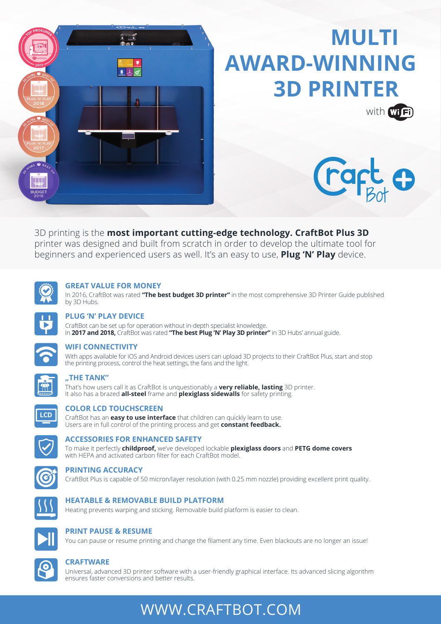

## **MULTI AWARD-WINNING 3D PRINTER**





3D printing is the **most important cutting-edge technology. CraftBot Plus 3D** printer was designed and built from scratch in order to develop the ultimate tool for beginners and experienced users as well. It's an easy to use, **Plug 'N' Play** device.



#### **GREAT VALUE FOR MONEY**

In 2016, CraftBot was rated **"The best budget 3D printer"** in the most comprehensive 3D Printer Guide published by 3D Hubs.



### **PLUG 'N' PLAY DEVICE**

CraftBot can be set up for operation without in-depth specialist knowledge. In **2017 and 2018,** CraftBot was rated **"The best Plug 'N' Play 3D printer"** in 3D Hubs' annual guide.



### **WIFI CONNECTIVITY**

With apps available for iOS and Android devices users can upload 3D projects to their CraftBot Plus, start and stop the printing process, control the heat settings, the fans and the light.



### **"THE TANK"**

That's how users call it as CraftBot is unquestionably a **very reliable, lasting** 3D printer. It also has a brazed **all-steel** frame and **plexiglass sidewalls** for safety printing.



### **COLOR LCD TOUCHSCREEN**

CraftBot has an **easy to use interface** that children can quickly learn to use. Users are in full control of the printing process and get **constant feedback.**



### **ACCESSORIES FOR ENHANCED SAFETY**

To make it perfectly **childproof,** we've developed lockable **plexiglass doors** and **PETG dome covers** with HEPA and activated carbon filter for each CraftBot model.



### **PRINTING ACCURACY**

CraftBot Plus is capable of 50 micron/layer resolution (with 0.25 mm nozzle) providing excellent print quality.



### **HEATABLE & REMOVABLE BUILD PLATFORM**

Heating prevents warping and sticking. Removable build platform is easier to clean.



### **PRINT PAUSE & RESUME**

You can pause or resume printing and change the filament any time. Even blackouts are no longer an issue!



#### **CRAFTWARE**

Universal, advanced 3D printer software with a user-friendly graphical interface. Its advanced slicing algorithm ensures faster conversions and better results.

### WWW.CRAFTBOT.COM